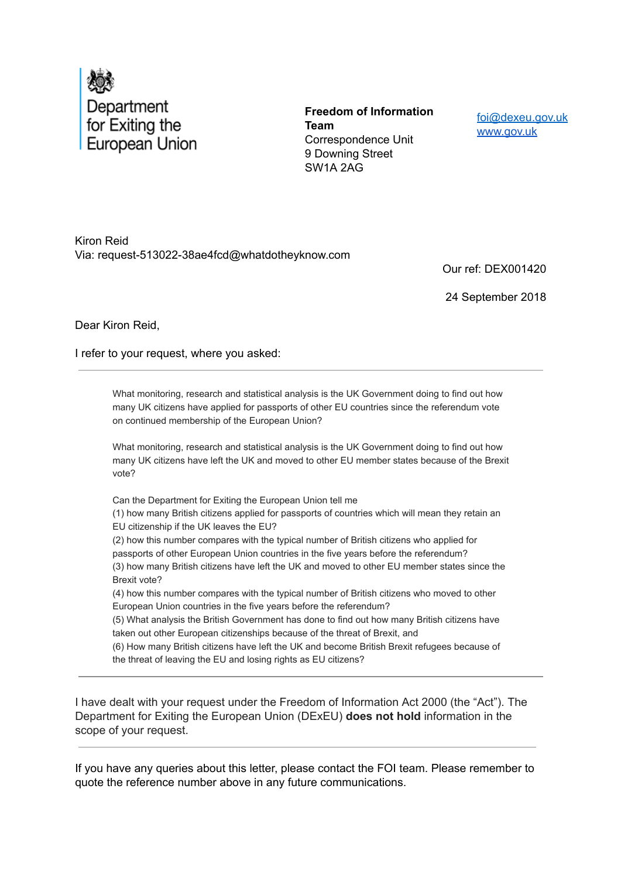

**Freedom of Information Team** Correspondence Unit 9 Downing Street SW1A 2AG

foi@dexeu.gov.uk www.gov.uk

Kiron Reid Via: request-513022-38ae4fcd@whatdotheyknow.com

Our ref: DEX001420

24 September 2018

Dear Kiron Reid,

I refer to your request, where you asked:

What monitoring, research and statistical analysis is the UK Government doing to find out how many UK citizens have applied for passports of other EU countries since the referendum vote on continued membership of the European Union?

What monitoring, research and statistical analysis is the UK Government doing to find out how many UK citizens have left the UK and moved to other EU member states because of the Brexit vote?

Can the Department for Exiting the European Union tell me

(1) how many British citizens applied for passports of countries which will mean they retain an EU citizenship if the UK leaves the EU?

(2) how this number compares with the typical number of British citizens who applied for passports of other European Union countries in the five years before the referendum? (3) how many British citizens have left the UK and moved to other EU member states since the Brexit vote?

(4) how this number compares with the typical number of British citizens who moved to other European Union countries in the five years before the referendum?

(5) What analysis the British Government has done to find out how many British citizens have taken out other European citizenships because of the threat of Brexit, and

(6) How many British citizens have left the UK and become British Brexit refugees because of the threat of leaving the EU and losing rights as EU citizens?

I have dealt with your request under the Freedom of Information Act 2000 (the "Act"). The Department for Exiting the European Union (DExEU) **does not hold** information in the scope of your request.

If you have any queries about this letter, please contact the FOI team. Please remember to quote the reference number above in any future communications.